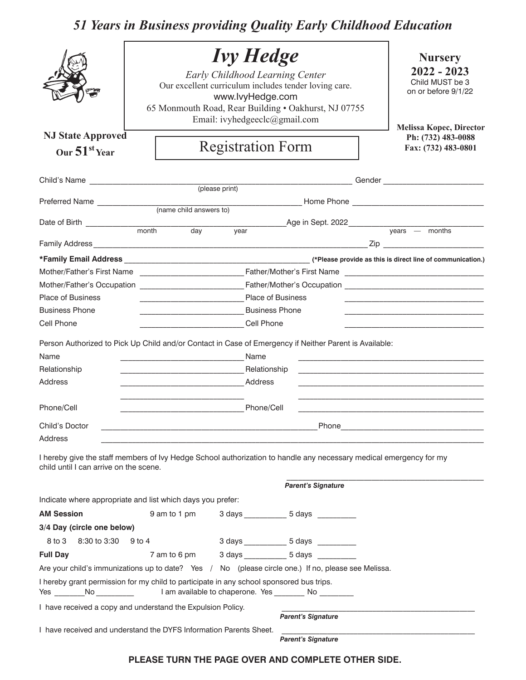## *51 Years in Business providing Quality Early Childhood Education*

|                                                                                                                                      | <b>Ivy Hedge</b><br>Early Childhood Learning Center<br>Our excellent curriculum includes tender loving care.<br>www.lvyHedge.com<br>65 Monmouth Road, Rear Building . Oakhurst, NJ 07755<br>Email: ivyhedgeeclc@gmail.com            |                          |                                                                                                        |                                                                                                                    |  |  |
|--------------------------------------------------------------------------------------------------------------------------------------|--------------------------------------------------------------------------------------------------------------------------------------------------------------------------------------------------------------------------------------|--------------------------|--------------------------------------------------------------------------------------------------------|--------------------------------------------------------------------------------------------------------------------|--|--|
| <b>NJ State Approved</b>                                                                                                             |                                                                                                                                                                                                                                      |                          |                                                                                                        | <b>Melissa Kopec, Director</b><br>Ph: (732) 483-0088                                                               |  |  |
| Our $51st$ Year                                                                                                                      |                                                                                                                                                                                                                                      | <b>Registration Form</b> |                                                                                                        | Fax: (732) 483-0801                                                                                                |  |  |
|                                                                                                                                      |                                                                                                                                                                                                                                      | (please print)           |                                                                                                        |                                                                                                                    |  |  |
|                                                                                                                                      |                                                                                                                                                                                                                                      |                          |                                                                                                        |                                                                                                                    |  |  |
|                                                                                                                                      |                                                                                                                                                                                                                                      |                          |                                                                                                        |                                                                                                                    |  |  |
| Date of Birth <u>contains and the month</u> day                                                                                      |                                                                                                                                                                                                                                      |                          |                                                                                                        | Age in Sept. 2022<br>years — months                                                                                |  |  |
|                                                                                                                                      |                                                                                                                                                                                                                                      | $\overline{year}$        |                                                                                                        |                                                                                                                    |  |  |
|                                                                                                                                      |                                                                                                                                                                                                                                      |                          |                                                                                                        |                                                                                                                    |  |  |
|                                                                                                                                      |                                                                                                                                                                                                                                      |                          |                                                                                                        |                                                                                                                    |  |  |
|                                                                                                                                      |                                                                                                                                                                                                                                      |                          |                                                                                                        |                                                                                                                    |  |  |
| <b>Place of Business</b>                                                                                                             |                                                                                                                                                                                                                                      |                          | <b>Place of Business</b>                                                                               |                                                                                                                    |  |  |
| <b>Business Phone</b>                                                                                                                | Business Phone                                                                                                                                                                                                                       |                          |                                                                                                        |                                                                                                                    |  |  |
| Cell Phone<br><b>Cell Phone</b>                                                                                                      |                                                                                                                                                                                                                                      |                          |                                                                                                        |                                                                                                                    |  |  |
|                                                                                                                                      |                                                                                                                                                                                                                                      |                          |                                                                                                        |                                                                                                                    |  |  |
|                                                                                                                                      |                                                                                                                                                                                                                                      |                          | Person Authorized to Pick Up Child and/or Contact in Case of Emergency if Neither Parent is Available: |                                                                                                                    |  |  |
| Name                                                                                                                                 | <b>Name</b> Name                                                                                                                                                                                                                     |                          |                                                                                                        |                                                                                                                    |  |  |
| Relationship                                                                                                                         |                                                                                                                                                                                                                                      |                          |                                                                                                        |                                                                                                                    |  |  |
| <b>Address</b>                                                                                                                       | <u> Andreas Andreas Andreas Andreas Andreas Andreas Andreas Andreas Andreas Andreas Andreas Andreas Andreas Andreas Andreas Andreas Andreas Andreas Andreas Andreas Andreas Andreas Andreas Andreas Andreas Andreas Andreas Andr</u> | Address                  |                                                                                                        |                                                                                                                    |  |  |
| Phone/Cell                                                                                                                           | <u>Phone</u> Phone Phone Phone Phone Phone Phone Phone Phone Phone Phone Phone Phone Phone Phone Phone Phone Phone Phone Phone Phone Phone Phone Phone Phone Phone Phone Phone Phone Phone Phone Phone Phone Phone Phone Phone Phon  |                          |                                                                                                        | <u> 1980 - Jan Barnett, margaret eta biztanleria (h. 1980).</u>                                                    |  |  |
|                                                                                                                                      |                                                                                                                                                                                                                                      |                          |                                                                                                        |                                                                                                                    |  |  |
| Child's Doctor<br>Address                                                                                                            |                                                                                                                                                                                                                                      |                          | Phone_____                                                                                             |                                                                                                                    |  |  |
| child until I can arrive on the scene.                                                                                               |                                                                                                                                                                                                                                      |                          |                                                                                                        | I hereby give the staff members of Ivy Hedge School authorization to handle any necessary medical emergency for my |  |  |
| <b>Parent's Signature</b>                                                                                                            |                                                                                                                                                                                                                                      |                          |                                                                                                        |                                                                                                                    |  |  |
| Indicate where appropriate and list which days you prefer:                                                                           |                                                                                                                                                                                                                                      |                          |                                                                                                        |                                                                                                                    |  |  |
| <b>AM Session</b>                                                                                                                    | 9 am to 1 pm                                                                                                                                                                                                                         |                          | 3 days 5 days                                                                                          |                                                                                                                    |  |  |
| 3/4 Day (circle one below)                                                                                                           |                                                                                                                                                                                                                                      |                          |                                                                                                        |                                                                                                                    |  |  |
| 8 to 3<br>8:30 to 3:30 9 to 4                                                                                                        |                                                                                                                                                                                                                                      |                          | 3 days ______________ 5 days __________                                                                |                                                                                                                    |  |  |
| <b>Full Day</b>                                                                                                                      |                                                                                                                                                                                                                                      |                          |                                                                                                        |                                                                                                                    |  |  |
|                                                                                                                                      |                                                                                                                                                                                                                                      |                          | Are your child's immunizations up to date? Yes / No (please circle one.) If no, please see Melissa.    |                                                                                                                    |  |  |
| I hereby grant permission for my child to participate in any school sponsored bus trips.<br>$N$ o $\overline{\qquad}$<br>Yes _______ |                                                                                                                                                                                                                                      |                          | I am available to chaperone. Yes _________ No _________                                                |                                                                                                                    |  |  |
| I have received a copy and understand the Expulsion Policy.                                                                          |                                                                                                                                                                                                                                      |                          |                                                                                                        |                                                                                                                    |  |  |
|                                                                                                                                      |                                                                                                                                                                                                                                      |                          | <b>Parent's Signature</b>                                                                              |                                                                                                                    |  |  |
| I have received and understand the DYFS Information Parents Sheet.                                                                   |                                                                                                                                                                                                                                      |                          | <b>Parent's Signature</b>                                                                              |                                                                                                                    |  |  |